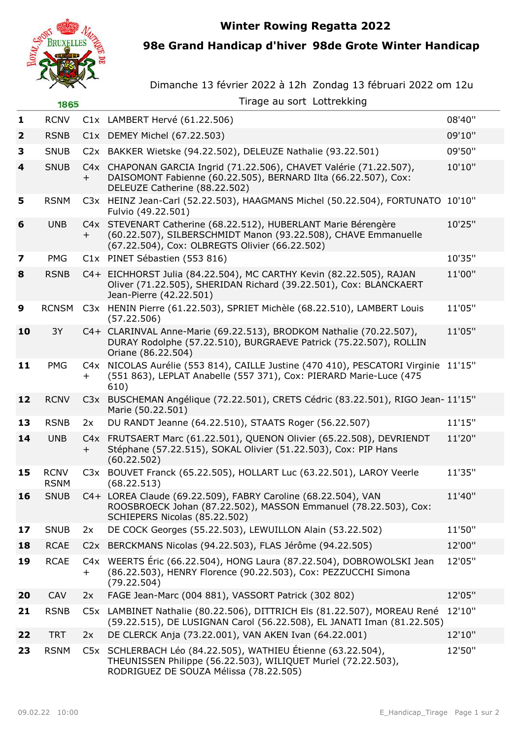**Winter Rowing Regatta 2022**



**98e Grand Handicap d'hiver 98de Grote Winter Handicap**

Dimanche 13 février 2022 à 12h Zondag 13 fébruari 2022 om 12u

|                | 1865                       |        | Tirage au sort Lottrekking                                                                                                                                                         |        |
|----------------|----------------------------|--------|------------------------------------------------------------------------------------------------------------------------------------------------------------------------------------|--------|
| 1              | <b>RCNV</b>                |        | C1x LAMBERT Hervé (61.22.506)                                                                                                                                                      | 08'40" |
| $\overline{2}$ | <b>RSNB</b>                |        | C1x DEMEY Michel (67.22.503)                                                                                                                                                       | 09'10" |
| 3              | <b>SNUB</b>                |        | C2x BAKKER Wietske (94.22.502), DELEUZE Nathalie (93.22.501)                                                                                                                       | 09'50" |
| $\overline{4}$ | <b>SNUB</b>                | $^{+}$ | C4x CHAPONAN GARCIA Ingrid (71.22.506), CHAVET Valérie (71.22.507),<br>DAISOMONT Fabienne (60.22.505), BERNARD Ilta (66.22.507), Cox:<br>DELEUZE Catherine (88.22.502)             | 10'10" |
| 5              | <b>RSNM</b>                |        | C3x HEINZ Jean-Carl (52.22.503), HAAGMANS Michel (50.22.504), FORTUNATO<br>Fulvio (49.22.501)                                                                                      | 10'10" |
| 6              | <b>UNB</b>                 | $^{+}$ | C4x STEVENART Catherine (68.22.512), HUBERLANT Marie Bérengère<br>(60.22.507), SILBERSCHMIDT Manon (93.22.508), CHAVE Emmanuelle<br>(67.22.504), Cox: OLBREGTS Olivier (66.22.502) | 10'25" |
| 7              | <b>PMG</b>                 |        | C1x PINET Sébastien (553 816)                                                                                                                                                      | 10'35" |
| 8              | <b>RSNB</b>                |        | C4+ EICHHORST Julia (84.22.504), MC CARTHY Kevin (82.22.505), RAJAN<br>Oliver (71.22.505), SHERIDAN Richard (39.22.501), Cox: BLANCKAERT<br>Jean-Pierre (42.22.501)                | 11'00" |
| 9              | <b>RCNSM</b>               |        | C3x HENIN Pierre (61.22.503), SPRIET Michèle (68.22.510), LAMBERT Louis<br>(57.22.506)                                                                                             | 11'05" |
| 10             | 3Y                         |        | C4+ CLARINVAL Anne-Marie (69.22.513), BRODKOM Nathalie (70.22.507),<br>DURAY Rodolphe (57.22.510), BURGRAEVE Patrick (75.22.507), ROLLIN<br>Oriane (86.22.504)                     | 11'05" |
| 11             | <b>PMG</b>                 | $\pm$  | C4x NICOLAS Aurélie (553 814), CAILLE Justine (470 410), PESCATORI Virginie 11'15"<br>(551 863), LEPLAT Anabelle (557 371), Cox: PIERARD Marie-Luce (475<br>610)                   |        |
| 12             | <b>RCNV</b>                |        | C3x BUSCHEMAN Angélique (72.22.501), CRETS Cédric (83.22.501), RIGO Jean-11'15"<br>Marie (50.22.501)                                                                               |        |
| 13             | <b>RSNB</b>                | 2x     | DU RANDT Jeanne (64.22.510), STAATS Roger (56.22.507)                                                                                                                              | 11'15" |
| 14             | <b>UNB</b>                 | $+$    | C4x FRUTSAERT Marc (61.22.501), QUENON Olivier (65.22.508), DEVRIENDT<br>Stéphane (57.22.515), SOKAL Olivier (51.22.503), Cox: PIP Hans<br>(60.22.502)                             | 11'20" |
| 15             | <b>RCNV</b><br><b>RSNM</b> |        | C3x BOUVET Franck (65.22.505), HOLLART Luc (63.22.501), LAROY Veerle<br>(68.22.513)                                                                                                | 11'35" |
| 16             | <b>SNUB</b>                |        | C4+ LOREA Claude (69.22.509), FABRY Caroline (68.22.504), VAN<br>ROOSBROECK Johan (87.22.502), MASSON Emmanuel (78.22.503), Cox:<br>SCHIEPERS Nicolas (85.22.502)                  | 11'40" |
| 17             | <b>SNUB</b>                | 2x     | DE COCK Georges (55.22.503), LEWUILLON Alain (53.22.502)                                                                                                                           | 11'50" |
| 18             | <b>RCAE</b>                |        | C2x BERCKMANS Nicolas (94.22.503), FLAS Jérôme (94.22.505)                                                                                                                         | 12'00" |
| 19             | <b>RCAE</b>                | $^+$   | C4x WEERTS Éric (66.22.504), HONG Laura (87.22.504), DOBROWOLSKI Jean<br>(86.22.503), HENRY Florence (90.22.503), Cox: PEZZUCCHI Simona<br>(79.22.504)                             | 12'05" |
| 20             | <b>CAV</b>                 | 2x     | FAGE Jean-Marc (004 881), VASSORT Patrick (302 802)                                                                                                                                | 12'05" |
| 21             | <b>RSNB</b>                |        | C5x LAMBINET Nathalie (80.22.506), DITTRICH Els (81.22.507), MOREAU René<br>(59.22.515), DE LUSIGNAN Carol (56.22.508), EL JANATI Iman (81.22.505)                                 | 12'10" |
| 22             | <b>TRT</b>                 | 2x     | DE CLERCK Anja (73.22.001), VAN AKEN Ivan (64.22.001)                                                                                                                              | 12'10" |
| 23             | <b>RSNM</b>                |        | C5x SCHLERBACH Léo (84.22.505), WATHIEU Étienne (63.22.504),<br>THEUNISSEN Philippe (56.22.503), WILIQUET Muriel (72.22.503),<br>RODRIGUEZ DE SOUZA Mélissa (78.22.505)            | 12'50" |